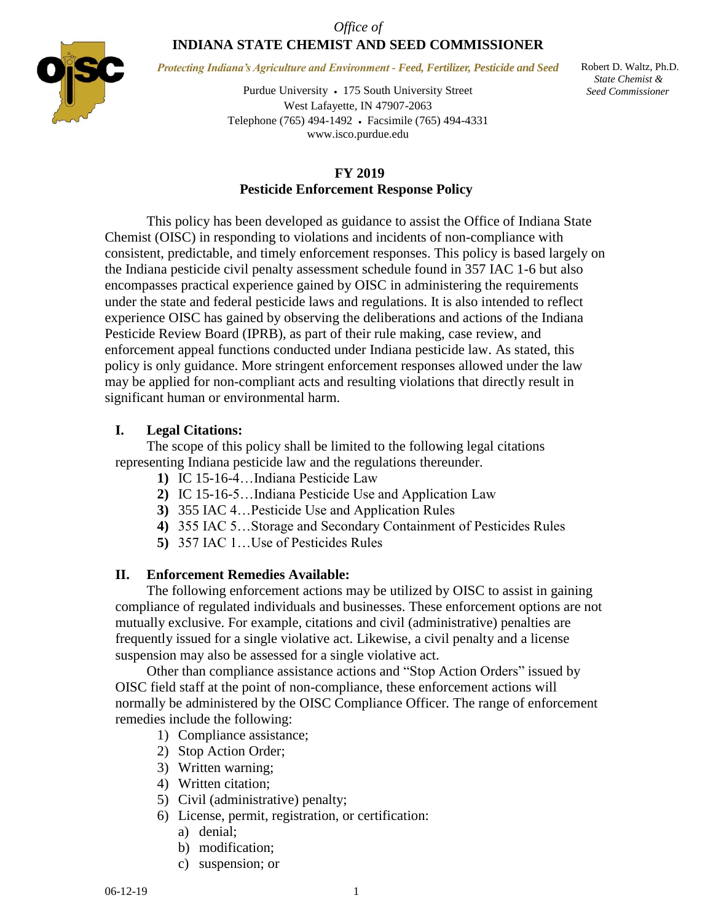## *Office of* **INDIANA STATE CHEMIST AND SEED COMMISSIONER**



*Protecting Indiana's Agriculture and Environment - Feed, Fertilizer, Pesticide and Seed*

Purdue University 175 South University Street West Lafayette, IN 47907-2063 Telephone (765) 494-1492 Facsimile (765) 494-4331 www.isco.purdue.edu

 Robert D. Waltz, Ph.D.  *State Chemist & Seed Commissioner*

## **FY 2019 Pesticide Enforcement Response Policy**

This policy has been developed as guidance to assist the Office of Indiana State Chemist (OISC) in responding to violations and incidents of non-compliance with consistent, predictable, and timely enforcement responses. This policy is based largely on the Indiana pesticide civil penalty assessment schedule found in 357 IAC 1-6 but also encompasses practical experience gained by OISC in administering the requirements under the state and federal pesticide laws and regulations. It is also intended to reflect experience OISC has gained by observing the deliberations and actions of the Indiana Pesticide Review Board (IPRB), as part of their rule making, case review, and enforcement appeal functions conducted under Indiana pesticide law. As stated, this policy is only guidance. More stringent enforcement responses allowed under the law may be applied for non-compliant acts and resulting violations that directly result in significant human or environmental harm.

## **I. Legal Citations:**

The scope of this policy shall be limited to the following legal citations representing Indiana pesticide law and the regulations thereunder.

- **1)** IC 15-16-4…Indiana Pesticide Law
- **2)** IC 15-16-5…Indiana Pesticide Use and Application Law
- **3)** 355 IAC 4…Pesticide Use and Application Rules
- **4)** 355 IAC 5…Storage and Secondary Containment of Pesticides Rules
- **5)** 357 IAC 1…Use of Pesticides Rules

### **II. Enforcement Remedies Available:**

The following enforcement actions may be utilized by OISC to assist in gaining compliance of regulated individuals and businesses. These enforcement options are not mutually exclusive. For example, citations and civil (administrative) penalties are frequently issued for a single violative act. Likewise, a civil penalty and a license suspension may also be assessed for a single violative act.

Other than compliance assistance actions and "Stop Action Orders" issued by OISC field staff at the point of non-compliance, these enforcement actions will normally be administered by the OISC Compliance Officer*.* The range of enforcement remedies include the following:

- 1) Compliance assistance;
- 2) Stop Action Order;
- 3) Written warning;
- 4) Written citation;
- 5) Civil (administrative) penalty;
- 6) License, permit, registration, or certification:
	- a) denial;
	- b) modification;
	- c) suspension; or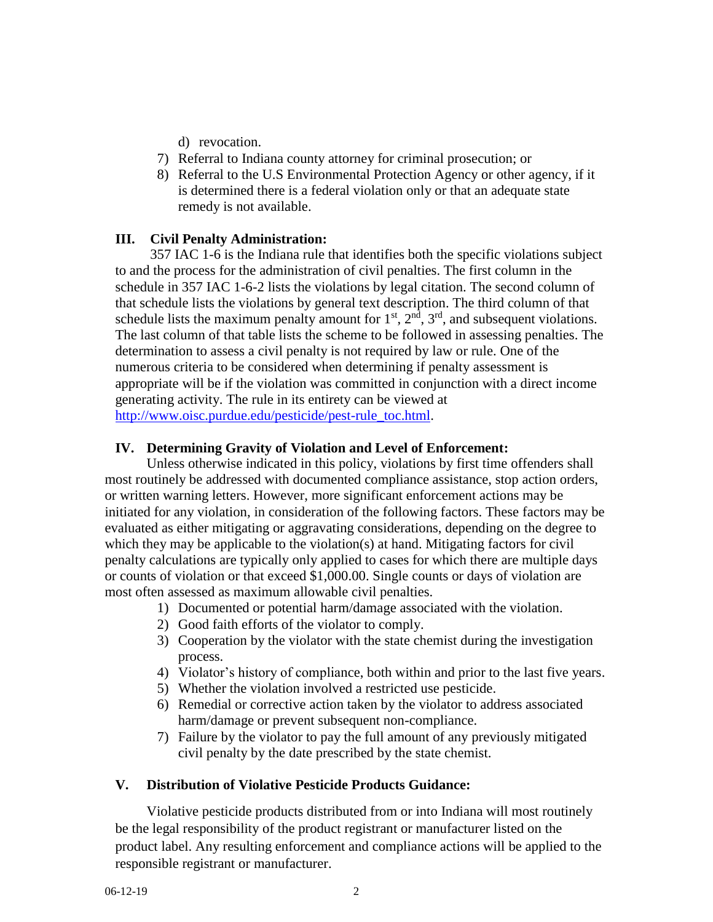- d) revocation.
- 7) Referral to Indiana county attorney for criminal prosecution; or
- 8) Referral to the U.S Environmental Protection Agency or other agency, if it is determined there is a federal violation only or that an adequate state remedy is not available.

## **III. Civil Penalty Administration:**

357 IAC 1-6 is the Indiana rule that identifies both the specific violations subject to and the process for the administration of civil penalties. The first column in the schedule in 357 IAC 1-6-2 lists the violations by legal citation. The second column of that schedule lists the violations by general text description. The third column of that schedule lists the maximum penalty amount for  $1<sup>st</sup>$ ,  $2<sup>nd</sup>$ ,  $3<sup>rd</sup>$ , and subsequent violations. The last column of that table lists the scheme to be followed in assessing penalties. The determination to assess a civil penalty is not required by law or rule. One of the numerous criteria to be considered when determining if penalty assessment is appropriate will be if the violation was committed in conjunction with a direct income generating activity. The rule in its entirety can be viewed at [http://www.oisc.purdue.edu/pesticide/pest-rule\\_toc.html.](http://www.oisc.purdue.edu/pesticide/pest-rule_toc.html)

## **IV. Determining Gravity of Violation and Level of Enforcement:**

Unless otherwise indicated in this policy, violations by first time offenders shall most routinely be addressed with documented compliance assistance, stop action orders, or written warning letters. However, more significant enforcement actions may be initiated for any violation, in consideration of the following factors. These factors may be evaluated as either mitigating or aggravating considerations, depending on the degree to which they may be applicable to the violation(s) at hand. Mitigating factors for civil penalty calculations are typically only applied to cases for which there are multiple days or counts of violation or that exceed \$1,000.00. Single counts or days of violation are most often assessed as maximum allowable civil penalties.

- 1) Documented or potential harm/damage associated with the violation.
- 2) Good faith efforts of the violator to comply.
- 3) Cooperation by the violator with the state chemist during the investigation process.
- 4) Violator's history of compliance, both within and prior to the last five years.
- 5) Whether the violation involved a restricted use pesticide.
- 6) Remedial or corrective action taken by the violator to address associated harm/damage or prevent subsequent non-compliance.
- 7) Failure by the violator to pay the full amount of any previously mitigated civil penalty by the date prescribed by the state chemist.

# **V. Distribution of Violative Pesticide Products Guidance:**

Violative pesticide products distributed from or into Indiana will most routinely be the legal responsibility of the product registrant or manufacturer listed on the product label. Any resulting enforcement and compliance actions will be applied to the responsible registrant or manufacturer.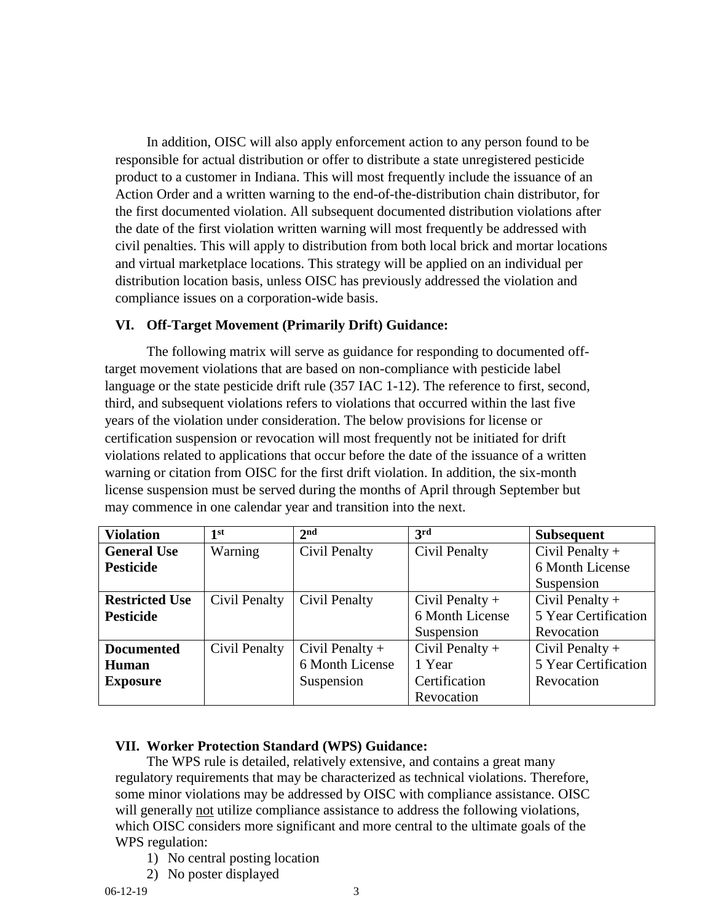In addition, OISC will also apply enforcement action to any person found to be responsible for actual distribution or offer to distribute a state unregistered pesticide product to a customer in Indiana. This will most frequently include the issuance of an Action Order and a written warning to the end-of-the-distribution chain distributor, for the first documented violation. All subsequent documented distribution violations after the date of the first violation written warning will most frequently be addressed with civil penalties. This will apply to distribution from both local brick and mortar locations and virtual marketplace locations. This strategy will be applied on an individual per distribution location basis, unless OISC has previously addressed the violation and compliance issues on a corporation-wide basis.

## **VI. Off-Target Movement (Primarily Drift) Guidance:**

The following matrix will serve as guidance for responding to documented offtarget movement violations that are based on non-compliance with pesticide label language or the state pesticide drift rule (357 IAC 1-12). The reference to first, second, third, and subsequent violations refers to violations that occurred within the last five years of the violation under consideration. The below provisions for license or certification suspension or revocation will most frequently not be initiated for drift violations related to applications that occur before the date of the issuance of a written warning or citation from OISC for the first drift violation. In addition, the six-month license suspension must be served during the months of April through September but may commence in one calendar year and transition into the next.

| <b>Violation</b>      | 1 <sup>st</sup> | 2 <sub>nd</sub>   | 3rd               | <b>Subsequent</b>    |
|-----------------------|-----------------|-------------------|-------------------|----------------------|
| <b>General Use</b>    | Warning         | Civil Penalty     | Civil Penalty     | Civil Penalty $+$    |
| <b>Pesticide</b>      |                 |                   |                   | 6 Month License      |
|                       |                 |                   |                   | Suspension           |
| <b>Restricted Use</b> | Civil Penalty   | Civil Penalty     | Civil Penalty $+$ | Civil Penalty $+$    |
| <b>Pesticide</b>      |                 |                   | 6 Month License   | 5 Year Certification |
|                       |                 |                   | Suspension        | Revocation           |
| <b>Documented</b>     | Civil Penalty   | Civil Penalty $+$ | Civil Penalty $+$ | Civil Penalty $+$    |
| Human                 |                 | 6 Month License   | 1 Year            | 5 Year Certification |
| <b>Exposure</b>       |                 | Suspension        | Certification     | Revocation           |
|                       |                 |                   | Revocation        |                      |

# **VII. Worker Protection Standard (WPS) Guidance:**

The WPS rule is detailed, relatively extensive, and contains a great many regulatory requirements that may be characterized as technical violations. Therefore, some minor violations may be addressed by OISC with compliance assistance. OISC will generally not utilize compliance assistance to address the following violations, which OISC considers more significant and more central to the ultimate goals of the WPS regulation:

- 1) No central posting location
- 2) No poster displayed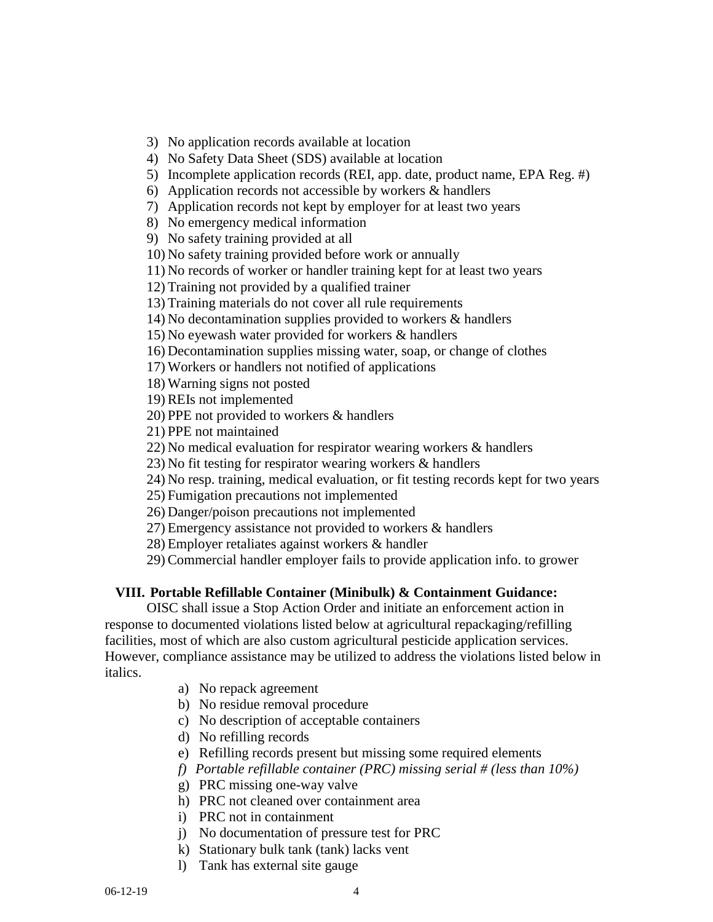3) No application records available at location

4) No Safety Data Sheet (SDS) available at location

5) Incomplete application records (REI, app. date, product name, EPA Reg. #)

6) Application records not accessible by workers & handlers

7) Application records not kept by employer for at least two years

8) No emergency medical information

9) No safety training provided at all

10) No safety training provided before work or annually

11) No records of worker or handler training kept for at least two years

12) Training not provided by a qualified trainer

13) Training materials do not cover all rule requirements

14) No decontamination supplies provided to workers & handlers

15) No eyewash water provided for workers & handlers

16) Decontamination supplies missing water, soap, or change of clothes

17) Workers or handlers not notified of applications

18) Warning signs not posted

19) REIs not implemented

20) PPE not provided to workers & handlers

21) PPE not maintained

22) No medical evaluation for respirator wearing workers & handlers

23) No fit testing for respirator wearing workers & handlers

24) No resp. training, medical evaluation, or fit testing records kept for two years

25) Fumigation precautions not implemented

26) Danger/poison precautions not implemented

27) Emergency assistance not provided to workers & handlers

28) Employer retaliates against workers & handler

29) Commercial handler employer fails to provide application info. to grower

### **VIII. Portable Refillable Container (Minibulk) & Containment Guidance:**

OISC shall issue a Stop Action Order and initiate an enforcement action in response to documented violations listed below at agricultural repackaging/refilling facilities, most of which are also custom agricultural pesticide application services. However, compliance assistance may be utilized to address the violations listed below in italics.

a) No repack agreement

b) No residue removal procedure

c) No description of acceptable containers

d) No refilling records

e) Refilling records present but missing some required elements

*f) Portable refillable container (PRC) missing serial # (less than 10%)*

g) PRC missing one-way valve

h) PRC not cleaned over containment area

i) PRC not in containment

j) No documentation of pressure test for PRC

k) Stationary bulk tank (tank) lacks vent

l) Tank has external site gauge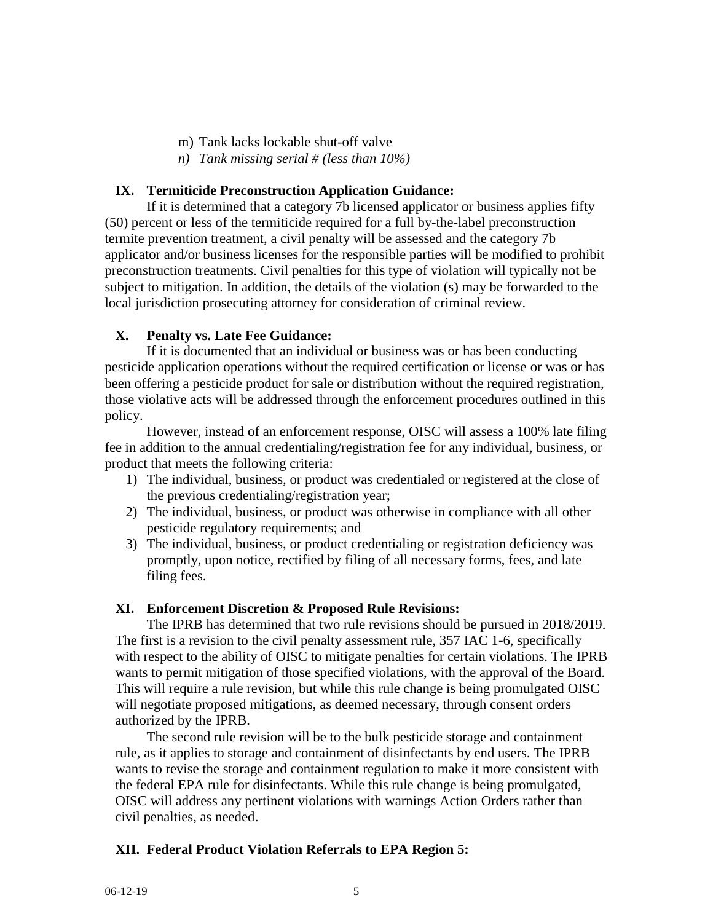- m) Tank lacks lockable shut-off valve
- *n) Tank missing serial # (less than 10%)*

## **IX. Termiticide Preconstruction Application Guidance:**

If it is determined that a category 7b licensed applicator or business applies fifty (50) percent or less of the termiticide required for a full by-the-label preconstruction termite prevention treatment, a civil penalty will be assessed and the category 7b applicator and/or business licenses for the responsible parties will be modified to prohibit preconstruction treatments. Civil penalties for this type of violation will typically not be subject to mitigation. In addition, the details of the violation (s) may be forwarded to the local jurisdiction prosecuting attorney for consideration of criminal review.

## **X. Penalty vs. Late Fee Guidance:**

If it is documented that an individual or business was or has been conducting pesticide application operations without the required certification or license or was or has been offering a pesticide product for sale or distribution without the required registration, those violative acts will be addressed through the enforcement procedures outlined in this policy.

However, instead of an enforcement response, OISC will assess a 100% late filing fee in addition to the annual credentialing/registration fee for any individual, business, or product that meets the following criteria:

- 1) The individual, business, or product was credentialed or registered at the close of the previous credentialing/registration year;
- 2) The individual, business, or product was otherwise in compliance with all other pesticide regulatory requirements; and
- 3) The individual, business, or product credentialing or registration deficiency was promptly, upon notice, rectified by filing of all necessary forms, fees, and late filing fees.

### **XI. Enforcement Discretion & Proposed Rule Revisions:**

The IPRB has determined that two rule revisions should be pursued in 2018/2019. The first is a revision to the civil penalty assessment rule, 357 IAC 1-6, specifically with respect to the ability of OISC to mitigate penalties for certain violations. The IPRB wants to permit mitigation of those specified violations, with the approval of the Board. This will require a rule revision, but while this rule change is being promulgated OISC will negotiate proposed mitigations, as deemed necessary, through consent orders authorized by the IPRB.

The second rule revision will be to the bulk pesticide storage and containment rule, as it applies to storage and containment of disinfectants by end users. The IPRB wants to revise the storage and containment regulation to make it more consistent with the federal EPA rule for disinfectants. While this rule change is being promulgated, OISC will address any pertinent violations with warnings Action Orders rather than civil penalties, as needed.

# **XII. Federal Product Violation Referrals to EPA Region 5:**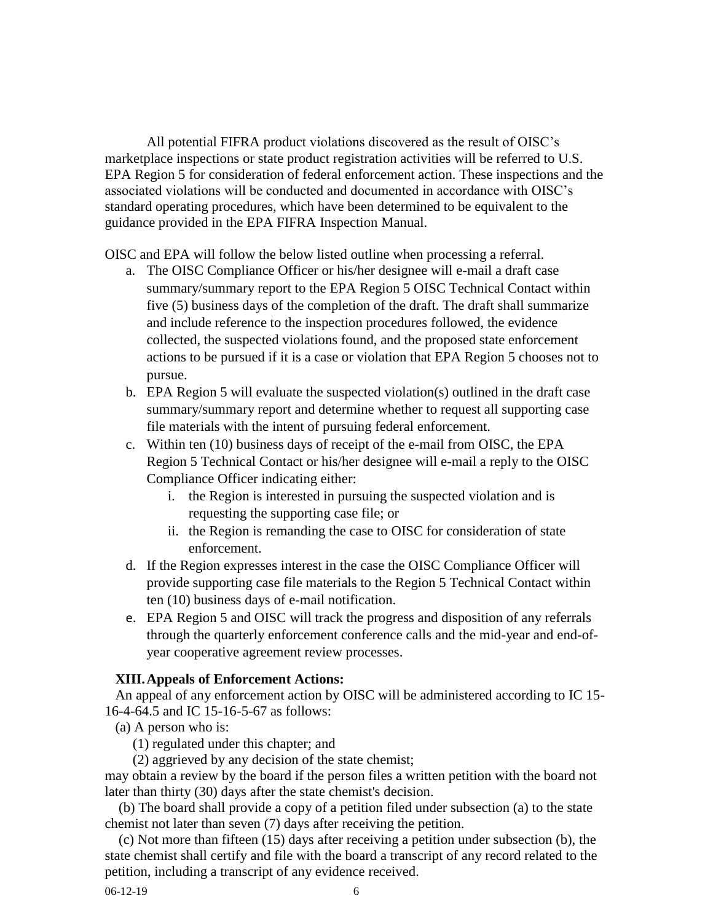All potential FIFRA product violations discovered as the result of OISC's marketplace inspections or state product registration activities will be referred to U.S. EPA Region 5 for consideration of federal enforcement action. These inspections and the associated violations will be conducted and documented in accordance with OISC's standard operating procedures, which have been determined to be equivalent to the guidance provided in the EPA FIFRA Inspection Manual.

OISC and EPA will follow the below listed outline when processing a referral.

- a. The OISC Compliance Officer or his/her designee will e-mail a draft case summary/summary report to the EPA Region 5 OISC Technical Contact within five (5) business days of the completion of the draft. The draft shall summarize and include reference to the inspection procedures followed, the evidence collected, the suspected violations found, and the proposed state enforcement actions to be pursued if it is a case or violation that EPA Region 5 chooses not to pursue.
- b. EPA Region 5 will evaluate the suspected violation(s) outlined in the draft case summary/summary report and determine whether to request all supporting case file materials with the intent of pursuing federal enforcement.
- c. Within ten (10) business days of receipt of the e-mail from OISC, the EPA Region 5 Technical Contact or his/her designee will e-mail a reply to the OISC Compliance Officer indicating either:
	- i. the Region is interested in pursuing the suspected violation and is requesting the supporting case file; or
	- ii. the Region is remanding the case to OISC for consideration of state enforcement.
- d. If the Region expresses interest in the case the OISC Compliance Officer will provide supporting case file materials to the Region 5 Technical Contact within ten (10) business days of e-mail notification.
- e. EPA Region 5 and OISC will track the progress and disposition of any referrals through the quarterly enforcement conference calls and the mid-year and end-ofyear cooperative agreement review processes.

### **XIII.Appeals of Enforcement Actions:**

An appeal of any enforcement action by OISC will be administered according to IC 15- 16-4-64.5 and IC 15-16-5-67 as follows:

- (a) A person who is:
	- (1) regulated under this chapter; and

(2) aggrieved by any decision of the state chemist;

may obtain a review by the board if the person files a written petition with the board not later than thirty (30) days after the state chemist's decision.

 (b) The board shall provide a copy of a petition filed under subsection (a) to the state chemist not later than seven (7) days after receiving the petition.

 (c) Not more than fifteen (15) days after receiving a petition under subsection (b), the state chemist shall certify and file with the board a transcript of any record related to the petition, including a transcript of any evidence received.